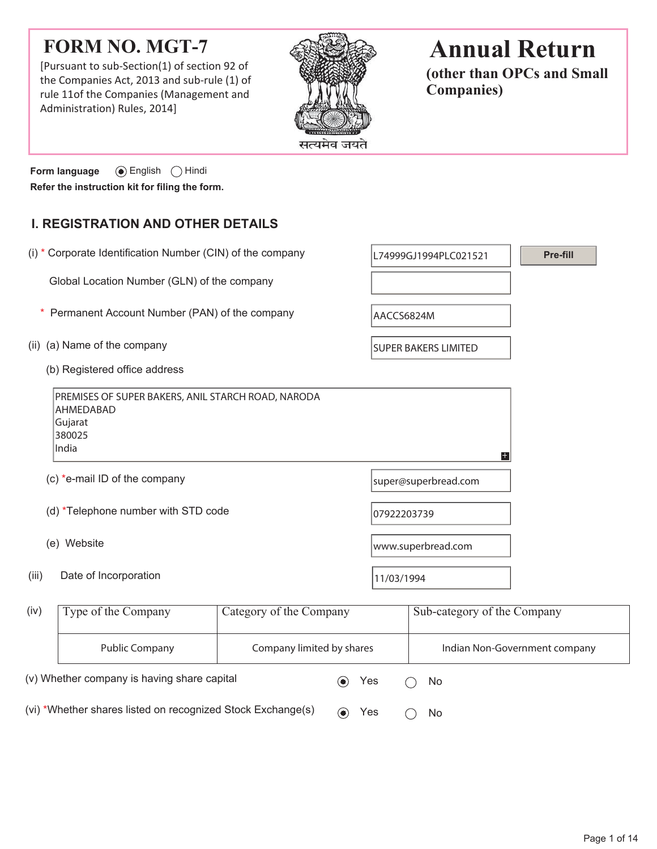# **FORM NO. MGT-7**

[Pursuant to sub-Section(1) of section 92 of the Companies Act, 2013 and sub-rule (1) of rule 11of the Companies (Management and Administration) Rules, 2014]



# **Annual Return**

**(other than OPCs and Small Companies)**

**Form language**  $\odot$  English  $\odot$  Hindi **Refer the instruction kit for filing the form.**

# **I. REGISTRATION AND OTHER DETAILS**

| (i) * Corporate Identification Number (CIN) of the company                                    |                           |             | L74999GJ1994PLC021521       | Pre-fill                      |
|-----------------------------------------------------------------------------------------------|---------------------------|-------------|-----------------------------|-------------------------------|
| Global Location Number (GLN) of the company                                                   |                           |             |                             |                               |
| Permanent Account Number (PAN) of the company                                                 |                           | AACCS6824M  |                             |                               |
| (a) Name of the company<br>(ii)                                                               |                           |             | <b>SUPER BAKERS LIMITED</b> |                               |
| (b) Registered office address                                                                 |                           |             |                             |                               |
| PREMISES OF SUPER BAKERS, ANIL STARCH ROAD, NARODA<br>AHMEDABAD<br>Gujarat<br>380025<br>India |                           |             | Ŧ                           |                               |
| (c) *e-mail ID of the company                                                                 |                           |             | super@superbread.com        |                               |
| (d) *Telephone number with STD code                                                           |                           | 07922203739 |                             |                               |
| (e) Website                                                                                   |                           |             | www.superbread.com          |                               |
| Date of Incorporation<br>(iii)                                                                |                           | 11/03/1994  |                             |                               |
| Type of the Company<br>(iv)                                                                   | Category of the Company   |             | Sub-category of the Company |                               |
| <b>Public Company</b>                                                                         | Company limited by shares |             |                             | Indian Non-Government company |

(vi) \*Whether shares listed on recognized Stock Exchange(s)  $\qquad \qquad \bullet \qquad \text{Yes} \qquad \bigcirc \quad \text{No}$ 

(v) Whether company is having share capital  $\bullet$  Yes  $\circ$  No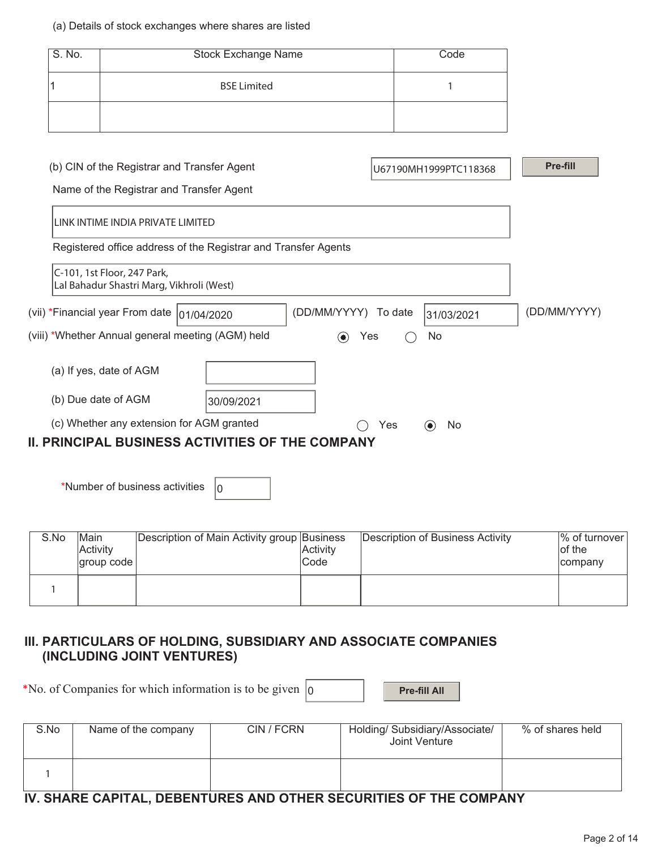#### (a) Details of stock exchanges where shares are listed

| S. No. | <b>Stock Exchange Name</b> | Code |
|--------|----------------------------|------|
|        | <b>BSE Limited</b>         |      |
|        |                            |      |

| (b) CIN of the Registrar and Transfer Agent                              |            |                    |         | U67190MH1999PTC118368 | Pre-fill     |
|--------------------------------------------------------------------------|------------|--------------------|---------|-----------------------|--------------|
| Name of the Registrar and Transfer Agent                                 |            |                    |         |                       |              |
| LINK INTIME INDIA PRIVATE LIMITED                                        |            |                    |         |                       |              |
| Registered office address of the Registrar and Transfer Agents           |            |                    |         |                       |              |
| C-101, 1st Floor, 247 Park,<br>Lal Bahadur Shastri Marg, Vikhroli (West) |            |                    |         |                       |              |
| (vii) *Financial year From date  01/04/2020                              |            | (DD/MM/YYYY)       | To date | 31/03/2021            | (DD/MM/YYYY) |
| (viii) *Whether Annual general meeting (AGM) held                        |            | Yes<br>$(\bullet)$ |         | No.                   |              |
| (a) If yes, date of AGM                                                  |            |                    |         |                       |              |
| (b) Due date of AGM                                                      | 30/09/2021 |                    |         |                       |              |
| (c) Whether any extension for AGM granted                                |            |                    | Yes     | No.<br>$(\bullet)$    |              |
| <b>II. PRINCIPAL BUSINESS ACTIVITIES OF THE COMPANY</b>                  |            |                    |         |                       |              |

\*Number of business activities  $\vert_0$ 

| S.No | <b>Main</b><br><b>Activity</b><br>$ $ group code $ $ | Description of Main Activity group Business | Activity<br>Code | Description of Business Activity | Ⅰ% of turnover<br>of the<br>company |
|------|------------------------------------------------------|---------------------------------------------|------------------|----------------------------------|-------------------------------------|
|      |                                                      |                                             |                  |                                  |                                     |

## **III. PARTICULARS OF HOLDING, SUBSIDIARY AND ASSOCIATE COMPANIES (INCLUDING JOINT VENTURES)**

| *No. of Companies for which information is to be given $ 0\rangle$ |  |  | <b>Pre-fill All</b> |
|--------------------------------------------------------------------|--|--|---------------------|
|--------------------------------------------------------------------|--|--|---------------------|

| S.No                                                              | Name of the company | CIN / FCRN | Holding/ Subsidiary/Associate/<br>Joint Venture | % of shares held |  |  |  |
|-------------------------------------------------------------------|---------------------|------------|-------------------------------------------------|------------------|--|--|--|
|                                                                   |                     |            |                                                 |                  |  |  |  |
| IV. SHARE CAPITAL, DEBENTURES AND OTHER SECURITIES OF THE COMPANY |                     |            |                                                 |                  |  |  |  |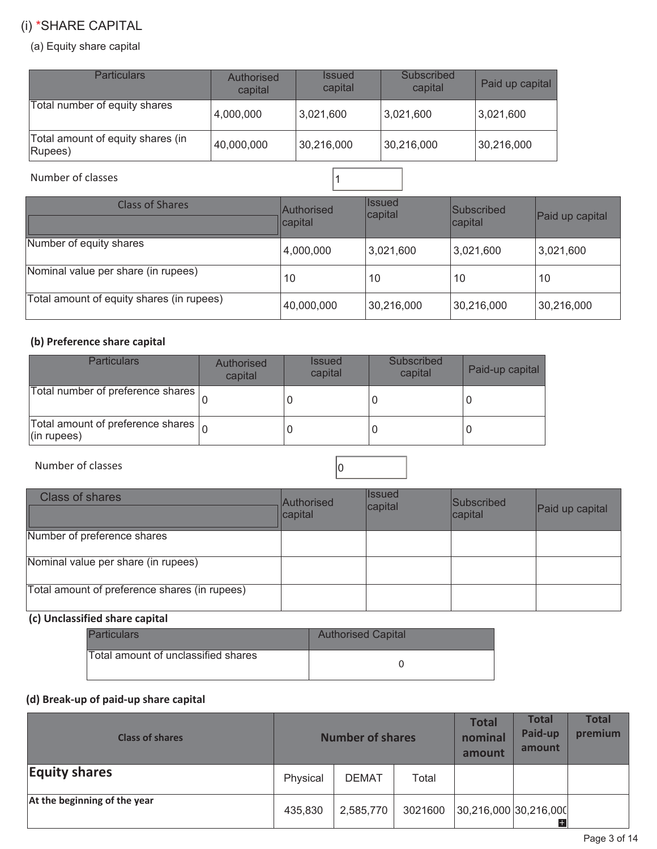# (i) \*SHARE CAPITAL

#### (a) Equity share capital

| <b>Particulars</b>                           | Authorised<br>capital | <b>Issued</b><br>capital | Subscribed<br>capital | Paid up capital |
|----------------------------------------------|-----------------------|--------------------------|-----------------------|-----------------|
| Total number of equity shares                | 4,000,000             | 3,021,600                | 3,021,600             | 3,021,600       |
| Total amount of equity shares (in<br>Rupees) | 40,000,000            | 30,216,000               | 30,216,000            | 30,216,000      |

Number of classes 2008 and 2008 and 2008 and 2008 and 2008 and 2008 and 2008 and 2008 and 2008 and 2008 and 20

| <b>Class of Shares</b>                    | Authorised<br>capital | <b>Issued</b><br>capital | Subscribed<br>capital | Paid up capital |
|-------------------------------------------|-----------------------|--------------------------|-----------------------|-----------------|
| Number of equity shares                   | 4,000,000             | 3,021,600                | 3,021,600             | 3,021,600       |
| Nominal value per share (in rupees)       | 10                    | 10                       | 10                    | 10              |
| Total amount of equity shares (in rupees) | 40,000,000            | 30,216,000               | 30,216,000            | 30,216,000      |

#### **(b) Preference share capital**

| <b>Particulars</b>                                                      | <b>Authorised</b><br>capital | <b>Issued</b><br>capital | Subscribed<br>capital | Paid-up capital |
|-------------------------------------------------------------------------|------------------------------|--------------------------|-----------------------|-----------------|
| Total number of preference shares                                       |                              |                          |                       |                 |
| Total amount of preference shares $\vert_{\Omega}$<br>$($ in rupees $)$ |                              |                          |                       |                 |

Number of classes  $\vert$  0

| <b>Class of shares</b>                        | Authorised<br>capital | <b>Issued</b><br>capital | Subscribed<br>capital | Paid up capital |
|-----------------------------------------------|-----------------------|--------------------------|-----------------------|-----------------|
| Number of preference shares                   |                       |                          |                       |                 |
| Nominal value per share (in rupees)           |                       |                          |                       |                 |
| Total amount of preference shares (in rupees) |                       |                          |                       |                 |

# **(c) Unclassified share capital**

| <b>Particulars</b>                  | <b>Authorised Capital</b> |
|-------------------------------------|---------------------------|
| Total amount of unclassified shares |                           |

## **(d) Break-up of paid-up share capital**

| <b>Class of shares</b>       | <b>Number of shares</b> |              |         | <b>Total</b><br>nominal<br>amount | <b>Total</b><br>Paid-up<br>amount | <b>Total</b><br>premium |
|------------------------------|-------------------------|--------------|---------|-----------------------------------|-----------------------------------|-------------------------|
| <b>Equity shares</b>         | Physical                | <b>DEMAT</b> | Total   |                                   |                                   |                         |
| At the beginning of the year | 435,830                 | 2,585,770    | 3021600 | 30,216,000 30,216,000             | $\pm$                             |                         |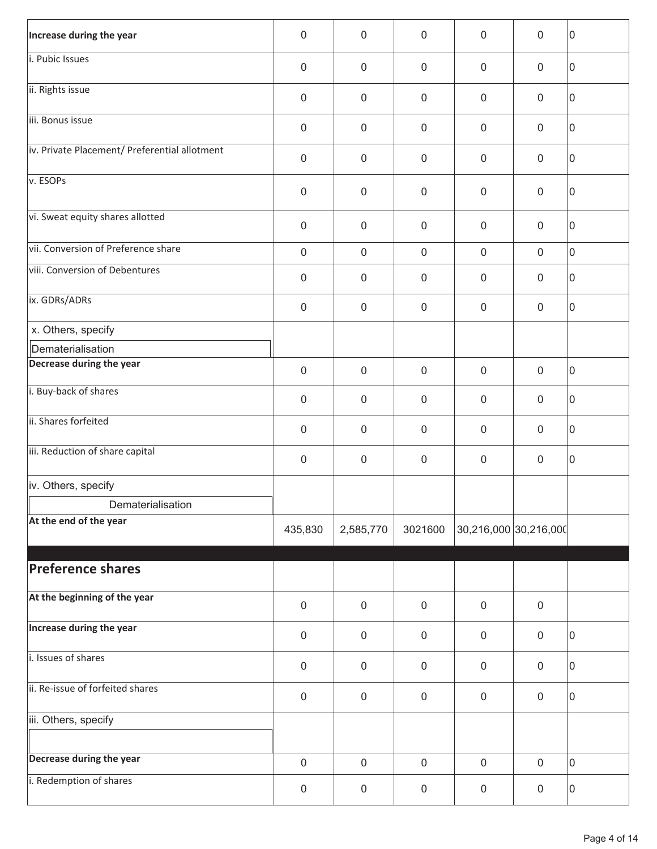| Increase during the year                      | $\mathbf 0$      | $\mathbf 0$         | 0                | $\mathbf 0$           | $\mathbf 0$      | 10          |
|-----------------------------------------------|------------------|---------------------|------------------|-----------------------|------------------|-------------|
| i. Pubic Issues                               | $\mathbf 0$      | $\mathbf 0$         | $\mathbf 0$      | $\mathbf 0$           | $\mathbf 0$      | 10          |
| ii. Rights issue                              | $\mathbf 0$      | $\mathbf 0$         | 0                | $\boldsymbol{0}$      | $\mathbf 0$      | $ 0\rangle$ |
| iii. Bonus issue                              | $\mathbf 0$      | $\mathbf 0$         | 0                | $\mathbf 0$           | $\mathbf 0$      | 0           |
| iv. Private Placement/ Preferential allotment | $\mathbf 0$      | $\mathbf 0$         | $\mathbf 0$      | $\mathbf 0$           | $\mathbf 0$      | $ 0\rangle$ |
| v. ESOPs                                      | $\boldsymbol{0}$ | $\mathbf 0$         | 0                | $\mathbf 0$           | $\mathbf 0$      | $ 0\rangle$ |
| vi. Sweat equity shares allotted              | $\mathbf 0$      | $\mathsf{O}\xspace$ | $\mathbf 0$      | $\boldsymbol{0}$      | $\mathbf 0$      | $ 0\rangle$ |
| vii. Conversion of Preference share           | $\mathsf 0$      | $\mathbf 0$         | $\mathbf 0$      | $\mathbf 0$           | $\mathbf 0$      | 10          |
| viii. Conversion of Debentures                | $\mathbf 0$      | $\mathbf 0$         | 0                | $\mathbf 0$           | $\mathbf 0$      | $ 0\rangle$ |
| ix. GDRs/ADRs                                 | $\pmb{0}$        | $\mathbf 0$         | 0                | $\mathbf 0$           | $\mathbf 0$      | $ 0\rangle$ |
| x. Others, specify                            |                  |                     |                  |                       |                  |             |
| Dematerialisation                             |                  |                     |                  |                       |                  |             |
| Decrease during the year                      | $\mathbf 0$      | $\mathbf 0$         | $\boldsymbol{0}$ | $\mathbf 0$           | $\mathbf 0$      | $ 0\rangle$ |
| i. Buy-back of shares                         | $\mathbf 0$      | $\mathbf 0$         | $\mathbf 0$      | $\mathbf 0$           | $\mathbf 0$      | $ 0\rangle$ |
| ii. Shares forfeited                          | $\boldsymbol{0}$ | $\mathbf 0$         | 0                | $\mathbf 0$           | $\mathbf 0$      | $ 0\rangle$ |
| iii. Reduction of share capital               | $\boldsymbol{0}$ | $\pmb{0}$           | 0                | $\mathbf 0$           | $\mathbf 0$      | $ 0\rangle$ |
| iv. Others, specify                           |                  |                     |                  |                       |                  |             |
| Dematerialisation                             |                  |                     |                  |                       |                  |             |
| At the end of the year                        | 435,830          | 2,585,770           | 3021600          | 30,216,000 30,216,000 |                  |             |
| <b>Preference shares</b>                      |                  |                     |                  |                       |                  |             |
| At the beginning of the year                  | $\mathbf 0$      | $\mathsf{O}\xspace$ | $\mathbf 0$      | $\mathbf 0$           | $\mathbf 0$      |             |
| Increase during the year                      | $\mathsf 0$      | $\pmb{0}$           | $\boldsymbol{0}$ | $\mathbf 0$           | $\mathbf 0$      | 0           |
| i. Issues of shares                           | $\mathbf 0$      | $\mathbf 0$         | $\mathbf 0$      | $\mathbf 0$           | $\mathbf 0$      | $ 0\rangle$ |
| ii. Re-issue of forfeited shares              | $\mathbf 0$      | $\mathsf{O}\xspace$ | $\boldsymbol{0}$ | $\mathbf 0$           | $\mathbf 0$      | $ 0\rangle$ |
| iii. Others, specify                          |                  |                     |                  |                       |                  |             |
| Decrease during the year                      | $\mathsf 0$      | $\mathsf{O}\xspace$ | $\mathbf 0$      | $\mathbf 0$           | $\mathbf 0$      | $ 0\rangle$ |
| i. Redemption of shares                       | $\boldsymbol{0}$ | $\pmb{0}$           | 0                | $\mathbf 0$           | $\boldsymbol{0}$ | $ 0\rangle$ |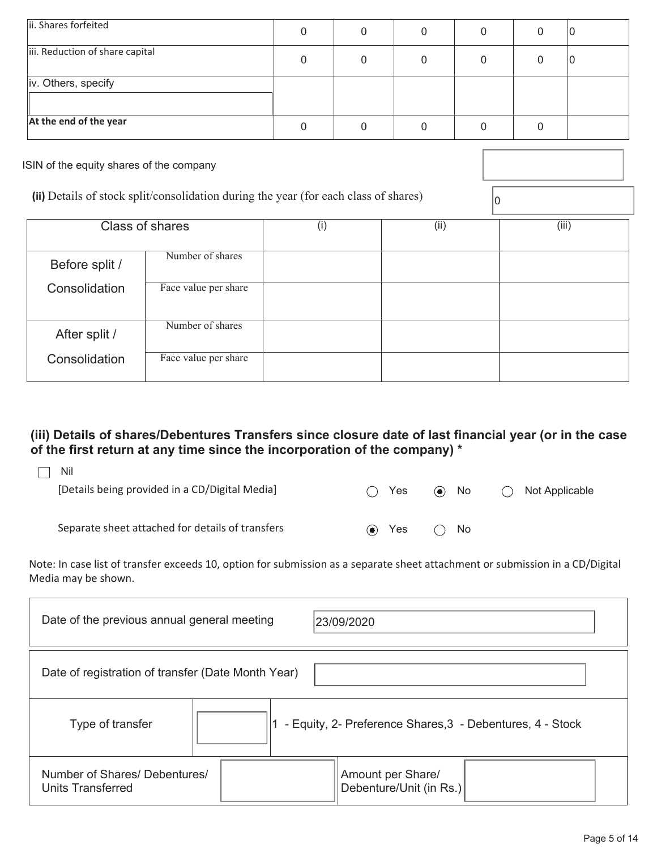| ii. Shares forfeited                     | 0 |  |  |  |  | ιU |
|------------------------------------------|---|--|--|--|--|----|
| iii. Reduction of share capital          | 0 |  |  |  |  |    |
| iv. Others, specify                      |   |  |  |  |  |    |
| At the end of the year                   | 0 |  |  |  |  |    |
| ISIN of the equity shares of the company |   |  |  |  |  |    |

| (ii) Details of stock split/consolidation during the year (for each class of shares) |  |  |
|--------------------------------------------------------------------------------------|--|--|
|                                                                                      |  |  |

|                | (ii) Details of stock split/consolidation during the year (for each class of shares) |     | 10   |       |
|----------------|--------------------------------------------------------------------------------------|-----|------|-------|
|                | Class of shares                                                                      | (i) | (ii) | (iii) |
| Before split / | Number of shares                                                                     |     |      |       |
| Consolidation  | Face value per share                                                                 |     |      |       |
| After split /  | Number of shares                                                                     |     |      |       |
| Consolidation  | Face value per share                                                                 |     |      |       |

# **(iii) Details of shares/Debentures Transfers since closure date of last financial year (or in the case of the first return at any time since the incorporation of the company) \***

| Nil<br>[Details being provided in a CD/Digital Media] | $\rightarrow$            | Yes | $\left( \bullet \right)$ | No.          | $($ ) | Not Applicable |
|-------------------------------------------------------|--------------------------|-----|--------------------------|--------------|-------|----------------|
| Separate sheet attached for details of transfers      | $\left( \bullet \right)$ | Yes |                          | $\bigcap$ No |       |                |

Note: In case list of transfer exceeds 10, option for submission as a separate sheet attachment or submission in a CD/Digital Media may be shown.

| Date of the previous annual general meeting<br>23/09/2020 |                                                           |  |  |  |  |  |
|-----------------------------------------------------------|-----------------------------------------------------------|--|--|--|--|--|
| Date of registration of transfer (Date Month Year)        |                                                           |  |  |  |  |  |
| Type of transfer                                          | - Equity, 2- Preference Shares, 3 - Debentures, 4 - Stock |  |  |  |  |  |
| Number of Shares/ Debentures/<br>Units Transferred        | Amount per Share/<br>Debenture/Unit (in Rs.)              |  |  |  |  |  |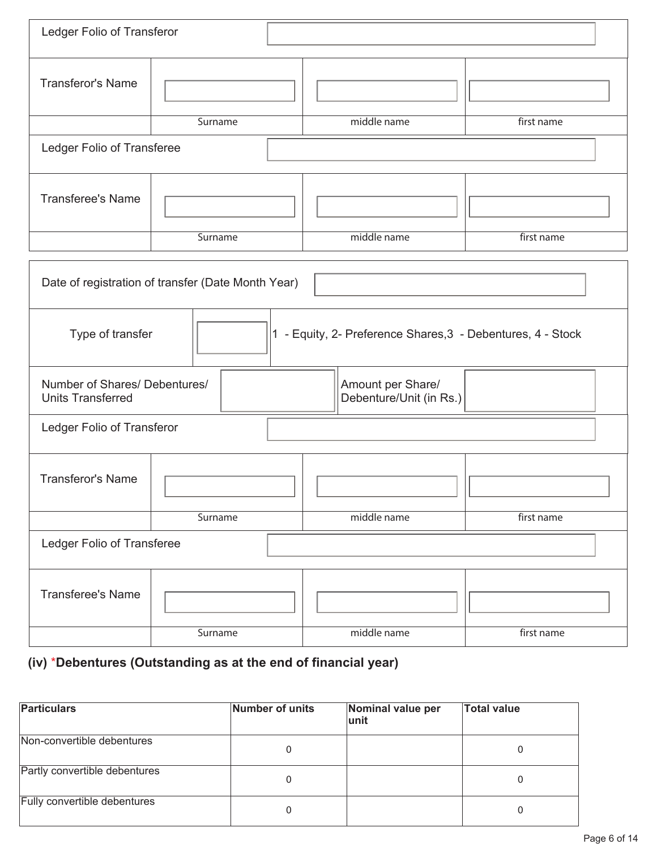| Ledger Folio of Transferor                                                      |         |                                              |            |  |  |  |  |
|---------------------------------------------------------------------------------|---------|----------------------------------------------|------------|--|--|--|--|
| <b>Transferor's Name</b>                                                        |         |                                              |            |  |  |  |  |
|                                                                                 | Surname | middle name                                  | first name |  |  |  |  |
| Ledger Folio of Transferee                                                      |         |                                              |            |  |  |  |  |
| <b>Transferee's Name</b>                                                        |         |                                              |            |  |  |  |  |
|                                                                                 | Surname | middle name                                  | first name |  |  |  |  |
| Date of registration of transfer (Date Month Year)                              |         |                                              |            |  |  |  |  |
| 1 - Equity, 2- Preference Shares, 3 - Debentures, 4 - Stock<br>Type of transfer |         |                                              |            |  |  |  |  |
| Number of Shares/ Debentures/<br><b>Units Transferred</b>                       |         | Amount per Share/<br>Debenture/Unit (in Rs.) |            |  |  |  |  |
| Ledger Folio of Transferor                                                      |         |                                              |            |  |  |  |  |
| <b>Transferor's Name</b>                                                        |         |                                              |            |  |  |  |  |
|                                                                                 | Surname | middle name                                  | first name |  |  |  |  |
| Ledger Folio of Transferee                                                      |         |                                              |            |  |  |  |  |
| <b>Transferee's Name</b>                                                        |         |                                              |            |  |  |  |  |
|                                                                                 | Surname | middle name                                  | first name |  |  |  |  |

# **(iv)** \***Debentures (Outstanding as at the end of financial year)**

| <b>Particulars</b>            | Number of units | Nominal value per<br>lunit | <b>Total value</b> |
|-------------------------------|-----------------|----------------------------|--------------------|
| Non-convertible debentures    | 0               |                            |                    |
| Partly convertible debentures | 0               |                            |                    |
| Fully convertible debentures  | 0               |                            |                    |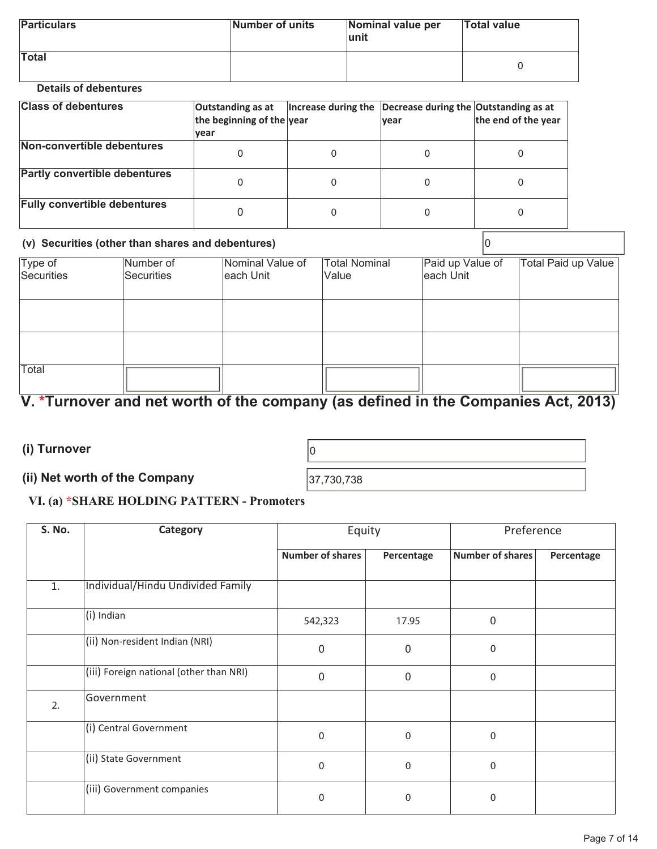| <b>Particulars</b> | Number of units | Nominal value per<br>lunit | <b>Total value</b> |
|--------------------|-----------------|----------------------------|--------------------|
| <b>Total</b>       |                 |                            |                    |

### **Details of debentures**

| <b>Class of debentures</b>           | Outstanding as at<br>the beginning of the year<br>lvear | Increase during the $\vert$ Decrease during the Outstanding as at | <b>vear</b> | the end of the year |
|--------------------------------------|---------------------------------------------------------|-------------------------------------------------------------------|-------------|---------------------|
| Non-convertible debentures           |                                                         | 0                                                                 |             |                     |
| <b>Partly convertible debentures</b> |                                                         | 0                                                                 |             |                     |
| <b>Fully convertible debentures</b>  |                                                         | 0                                                                 |             |                     |

#### **(v) Securities (other than shares and debentures)** 0

| Type of    | Number of  | Nominal Value of | <b>Total Nominal</b> | Paid up Value of | <b>Total Paid up Value</b> |
|------------|------------|------------------|----------------------|------------------|----------------------------|
| Securities | Securities | each Unit        | Value                | each Unit        |                            |
|            |            |                  |                      |                  |                            |
|            |            |                  |                      |                  |                            |
|            |            |                  |                      |                  |                            |
|            |            |                  |                      |                  |                            |
|            |            |                  |                      |                  |                            |
| Total      |            |                  |                      |                  |                            |
|            |            |                  |                      |                  |                            |

# **V. \*Turnover and net worth of the company (as defined in the Companies Act, 2013)**

**(i) Turnover**  <sup>0</sup>

# **(ii) Net worth of the Company**  37,730,738

## **VI. (a) \*SHARE HOLDING PATTERN - Promoters**

| S. No. | Category                                | Equity                  |             | Preference              |            |
|--------|-----------------------------------------|-------------------------|-------------|-------------------------|------------|
|        |                                         | <b>Number of shares</b> | Percentage  | <b>Number of shares</b> | Percentage |
| 1.     | Individual/Hindu Undivided Family       |                         |             |                         |            |
|        | (i) Indian                              | 542,323                 | 17.95       | $\mathbf{0}$            |            |
|        | (ii) Non-resident Indian (NRI)          | 0                       | $\mathbf 0$ | 0                       |            |
|        | (iii) Foreign national (other than NRI) | 0                       | $\mathbf 0$ | 0                       |            |
| 2.     | Government                              |                         |             |                         |            |
|        | (i) Central Government                  | 0                       | $\mathbf 0$ | $\mathbf{0}$            |            |
|        | (ii) State Government                   | $\Omega$                | $\mathbf 0$ | 0                       |            |
|        | (iii) Government companies              | 0                       | $\mathbf 0$ | 0                       |            |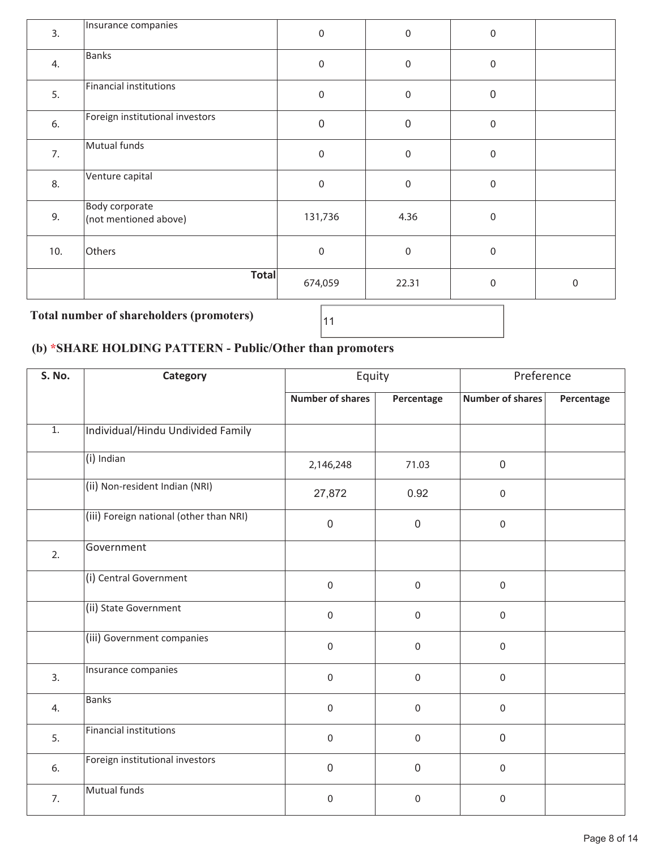| 3.  | Insurance companies                     | $\mathbf 0$ | $\boldsymbol{0}$ | $\mathbf 0$      |             |
|-----|-----------------------------------------|-------------|------------------|------------------|-------------|
| 4.  | Banks                                   | $\mathbf 0$ | $\boldsymbol{0}$ | $\boldsymbol{0}$ |             |
| 5.  | Financial institutions                  | $\pmb{0}$   | $\boldsymbol{0}$ | $\mathbf 0$      |             |
| 6.  | Foreign institutional investors         | $\pmb{0}$   | $\boldsymbol{0}$ | $\boldsymbol{0}$ |             |
| 7.  | Mutual funds                            | $\mathbf 0$ | $\,0\,$          | $\boldsymbol{0}$ |             |
| 8.  | Venture capital                         | $\mathbf 0$ | $\boldsymbol{0}$ | $\boldsymbol{0}$ |             |
| 9.  | Body corporate<br>(not mentioned above) | 131,736     | 4.36             | $\boldsymbol{0}$ |             |
| 10. | Others                                  | $\mathbf 0$ | $\,0\,$          | $\mathbf 0$      |             |
|     | <b>Total</b>                            | 674,059     | 22.31            | $\mathbf 0$      | $\mathbf 0$ |

# **Total number of shareholders (promoters)**

# **(b) \*SHARE HOLDING PATTERN - Public/Other than promoters**

| S. No.           | Category                                | Equity                  |                  | Preference              |            |
|------------------|-----------------------------------------|-------------------------|------------------|-------------------------|------------|
|                  |                                         | <b>Number of shares</b> | Percentage       | <b>Number of shares</b> | Percentage |
| $\overline{1}$ . | Individual/Hindu Undivided Family       |                         |                  |                         |            |
|                  | (i) Indian                              | 2,146,248               | 71.03            | $\mathsf 0$             |            |
|                  | (ii) Non-resident Indian (NRI)          | 27,872                  | 0.92             | $\mathsf{O}\xspace$     |            |
|                  | (iii) Foreign national (other than NRI) | $\Omega$                | $\overline{0}$   | $\mathbf 0$             |            |
| 2.               | Government                              |                         |                  |                         |            |
|                  | (i) Central Government                  | $\boldsymbol{0}$        | 0                | $\mathbf 0$             |            |
|                  | (ii) State Government                   | $\boldsymbol{0}$        | 0                | $\mathbf 0$             |            |
|                  | (iii) Government companies              | $\mathbf 0$             | $\Omega$         | $\mathbf 0$             |            |
| 3.               | Insurance companies                     | $\mathbf 0$             | $\boldsymbol{0}$ | $\mathbf 0$             |            |
| 4.               | <b>Banks</b>                            | $\mathbf 0$             | $\Omega$         | $\mathbf 0$             |            |
| 5.               | <b>Financial institutions</b>           | $\boldsymbol{0}$        | 0                | $\mathbf 0$             |            |
| 6.               | Foreign institutional investors         | $\overline{0}$          | $\mathbf 0$      | $\mathbf 0$             |            |
| 7.               | Mutual funds                            | $\boldsymbol{0}$        | 0                | $\mathbf 0$             |            |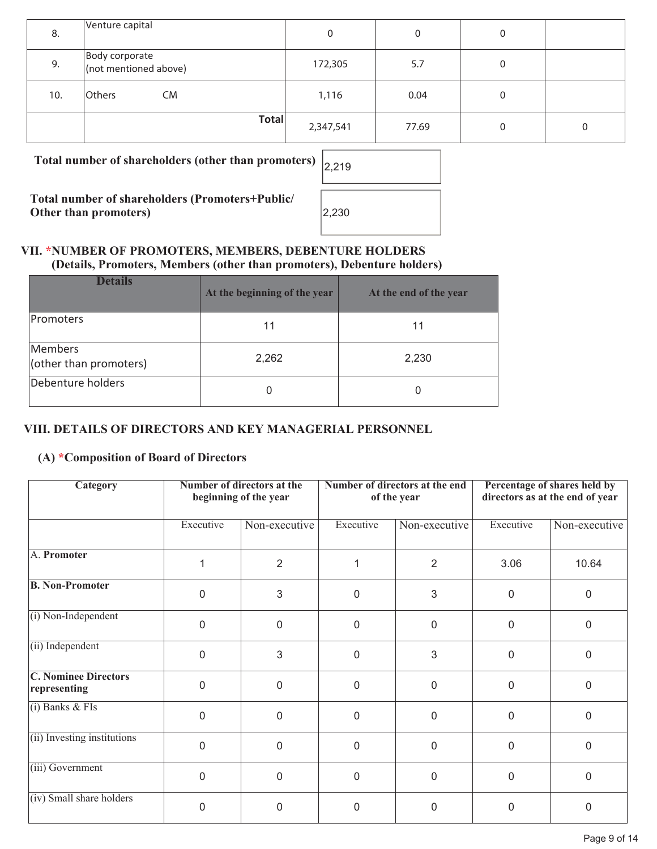| 8.  | Venture capital                         | 0         | 0     | 0 |   |
|-----|-----------------------------------------|-----------|-------|---|---|
| 9.  | Body corporate<br>(not mentioned above) | 172,305   | 5.7   | 0 |   |
| 10. | Others<br><b>CM</b>                     | 1,116     | 0.04  | 0 |   |
|     | <b>Total</b>                            | 2,347,541 | 77.69 | 0 | 0 |

**Total number of shareholders (other than promoters)** 2,219

**Total number of shareholders (Promoters+Public/ Other than promoters)** 

| 2,219 |  |
|-------|--|
| 2,230 |  |

### **VII. \*NUMBER OF PROMOTERS, MEMBERS, DEBENTURE HOLDERS (Details, Promoters, Members (other than promoters), Debenture holders)**

| <b>Details</b>                    | At the beginning of the year | At the end of the year |
|-----------------------------------|------------------------------|------------------------|
| <b>Promoters</b>                  | 11                           | 11                     |
| Members<br>(other than promoters) | 2,262                        | 2,230                  |
| Debenture holders                 | 0                            |                        |

# **VIII. DETAILS OF DIRECTORS AND KEY MANAGERIAL PERSONNEL**

# **(A) \*Composition of Board of Directors**

| Category                                    |                | Number of directors at the<br>beginning of the year | Number of directors at the end<br>of the year |                | Percentage of shares held by<br>directors as at the end of year |               |
|---------------------------------------------|----------------|-----------------------------------------------------|-----------------------------------------------|----------------|-----------------------------------------------------------------|---------------|
|                                             | Executive      | Non-executive                                       | Executive                                     | Non-executive  | Executive                                                       | Non-executive |
| A. Promoter                                 |                | $\overline{2}$                                      |                                               | $\overline{2}$ | 3.06                                                            | 10.64         |
| <b>B. Non-Promoter</b>                      | $\overline{0}$ | 3                                                   | $\overline{0}$                                | 3              | 0                                                               | $\mathbf 0$   |
| (i) Non-Independent                         | $\mathbf{0}$   | 0                                                   | 0                                             | 0              | 0                                                               | $\mathbf 0$   |
| (ii) Independent                            | $\Omega$       | 3                                                   | $\mathbf{0}$                                  | 3              | 0                                                               | $\mathbf 0$   |
| <b>C. Nominee Directors</b><br>representing | $\Omega$       | $\overline{0}$                                      | $\overline{0}$                                | $\overline{0}$ | $\mathbf 0$                                                     | $\mathbf 0$   |
| $(i)$ Banks & FIs                           | $\mathbf{0}$   | 0                                                   | 0                                             | 0              | 0                                                               | $\mathbf 0$   |
| (ii) Investing institutions                 | $\Omega$       | 0                                                   | $\mathbf{0}$                                  | $\overline{0}$ | $\overline{0}$                                                  | $\Omega$      |
| (iii) Government                            | $\mathbf 0$    | $\overline{0}$                                      | $\mathbf{0}$                                  | $\overline{0}$ | 0                                                               | $\mathbf 0$   |
| (iv) Small share holders                    | $\Omega$       | 0                                                   | 0                                             | 0              | 0                                                               | 0             |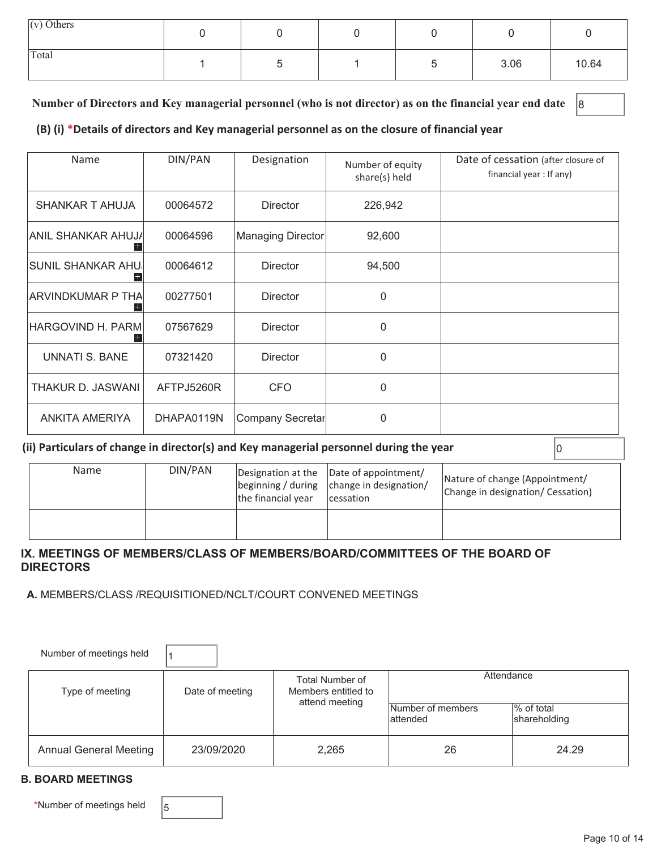| $(v)$ Others |  |  |      |       |
|--------------|--|--|------|-------|
| Total        |  |  | 3.06 | 10.64 |

#### Number of Directors and Key managerial personnel (who is not director) as on the financial year end date <sup>8</sup>

#### **(B) (i) \*Details of directors and Key managerial personnel as on the closure of financial year**

| Name                  | DIN/PAN<br>Designation |                   | Number of equity<br>share(s) held | Date of cessation (after closure of<br>financial year : If any) |
|-----------------------|------------------------|-------------------|-----------------------------------|-----------------------------------------------------------------|
| SHANKAR T AHUJA       | 00064572               | <b>Director</b>   | 226,942                           |                                                                 |
| ANIL SHANKAR AHUJA    | 00064596               | Managing Director | 92,600                            |                                                                 |
| ISUNIL SHANKAR AHU.I  | 00064612               | <b>Director</b>   | 94,500                            |                                                                 |
| ARVINDKUMAR P THA     | 00277501               | Director          | $\Omega$                          |                                                                 |
| HARGOVIND H. PARM     | 07567629               | <b>Director</b>   | $\Omega$                          |                                                                 |
| <b>UNNATI S. BANE</b> | 07321420               | <b>Director</b>   | $\Omega$                          |                                                                 |
| THAKUR D. JASWANI     | AFTPJ5260R             | <b>CFO</b>        | $\Omega$                          |                                                                 |
| ANKITA AMERIYA        | DHAPA0119N             | Company Secretar  | $\Omega$                          |                                                                 |

#### **(ii) Particulars of change in director(s) and Key managerial personnel during the year** 0

| Name | DIN/PAN | the financial year | Designation at the Date of appointment/<br>$\beta$ beginning / during $\alpha$ change in designation/<br>cessation | Nature of change (Appointment/<br>Change in designation/ Cessation) |
|------|---------|--------------------|--------------------------------------------------------------------------------------------------------------------|---------------------------------------------------------------------|
|      |         |                    |                                                                                                                    |                                                                     |

#### **IX. MEETINGS OF MEMBERS/CLASS OF MEMBERS/BOARD/COMMITTEES OF THE BOARD OF DIRECTORS**

#### **A.** MEMBERS/CLASS /REQUISITIONED/NCLT/COURT CONVENED MEETINGS

| Number of meetings held       |                 |                                                          |                                |                            |
|-------------------------------|-----------------|----------------------------------------------------------|--------------------------------|----------------------------|
| Type of meeting               | Date of meeting | Total Number of<br>Members entitled to<br>attend meeting | Attendance                     |                            |
|                               |                 |                                                          | Number of members<br>lattended | % of total<br>shareholding |
| <b>Annual General Meeting</b> | 23/09/2020      | 2,265                                                    | 26                             | 24.29                      |

#### **B. BOARD MEETINGS**

\*Number of meetings held  $\Big|_5$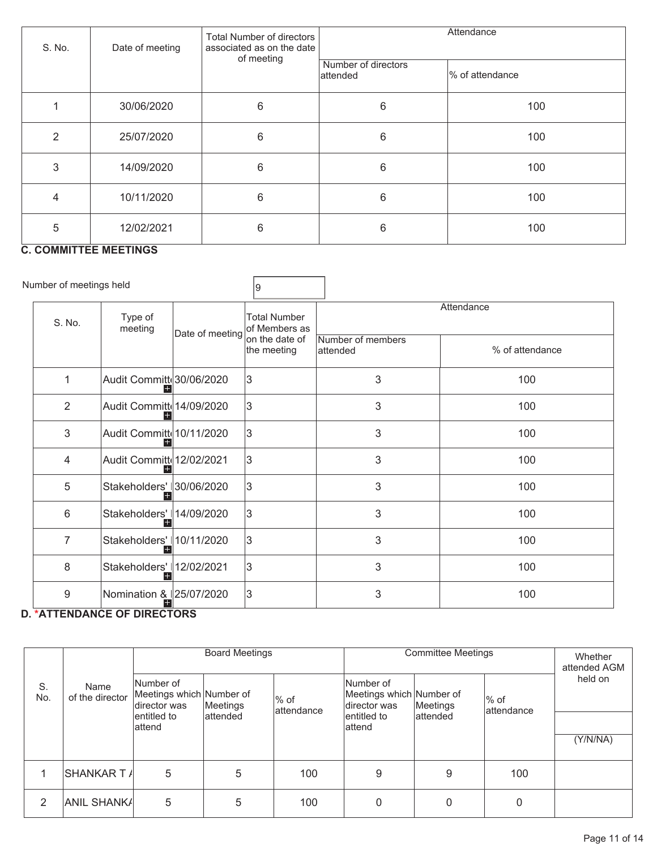| S. No. | Total Number of directors<br>Date of meeting<br>associated as on the date<br>of meeting |   |                                  | Attendance       |  |
|--------|-----------------------------------------------------------------------------------------|---|----------------------------------|------------------|--|
|        |                                                                                         |   | Number of directors<br>lattended | Ⅰ% of attendance |  |
|        | 30/06/2020                                                                              | 6 | 6                                | 100              |  |
| 2      | 25/07/2020                                                                              | 6 | 6                                | 100              |  |
| 3      | 14/09/2020                                                                              | 6 | 6                                | 100              |  |
| 4      | 10/11/2020                                                                              | 6 | 6                                | 100              |  |
| 5      | 12/02/2021                                                                              | 6 | 6                                | 100              |  |

# **C. COMMITTEE MEETINGS**

| Number of meetings held |                                   |                 | 9                                    |                                |                 |  |
|-------------------------|-----------------------------------|-----------------|--------------------------------------|--------------------------------|-----------------|--|
| S. No.                  | Type of<br>meeting                | Date of meeting | <b>Total Number</b><br>of Members as | Attendance                     |                 |  |
|                         |                                   |                 | on the date of<br>the meeting        | Number of members<br>lattended | % of attendance |  |
| 1                       | Audit Committ 30/06/2020          |                 | 3                                    | 3                              | 100             |  |
| $\overline{2}$          | Audit Committe 14/09/2020         |                 | 3                                    | 3                              | 100             |  |
| 3                       | Audit Committe 10/11/2020         |                 | 3                                    | 3                              | 100             |  |
| 4                       | Audit Committe 12/02/2021         |                 | 3                                    | 3                              | 100             |  |
| 5                       | Stakeholders' 30/06/2020          |                 | 3                                    | 3                              | 100             |  |
| 6                       | Stakeholders' 14/09/2020<br>$\pm$ |                 | 3                                    | 3                              | 100             |  |
| $\overline{7}$          | Stakeholders' 10/11/2020          |                 | 3                                    | 3                              | 100             |  |
| 8                       | Stakeholders'   12/02/2021        |                 | 3                                    | 3                              | 100             |  |
| 9                       | Nomination & 25/07/2020           |                 | 3                                    | 3                              | 100             |  |

# **D. \*ATTENDANCE OF DIRECTORS**

|           |                         | <b>Board Meetings</b>                                 |           |                      | <b>Committee Meetings</b>                             |           |                      | Whether<br>attended AGM |
|-----------|-------------------------|-------------------------------------------------------|-----------|----------------------|-------------------------------------------------------|-----------|----------------------|-------------------------|
| S.<br>No. | Name<br>of the director | Number of<br>Meetings which Number of<br>director was | Meetings  | l% of<br>lattendance | Number of<br>Meetings which Number of<br>director was | Meetings  | l% of<br>lattendance | held on                 |
|           |                         | lentitled to<br>lattend                               | lattended |                      | entitled to<br>lattend                                | lattended |                      |                         |
|           |                         |                                                       |           |                      |                                                       |           |                      | (Y/N/NA)                |
|           | SHANKAR T <i>I</i> ∣    | 5                                                     | 5         | 100                  | 9                                                     | 9         | 100                  |                         |
| 2         | <b>ANIL SHANKA</b>      | 5                                                     | 5         | 100                  | $\mathbf 0$                                           | 0         | $\mathbf{0}$         |                         |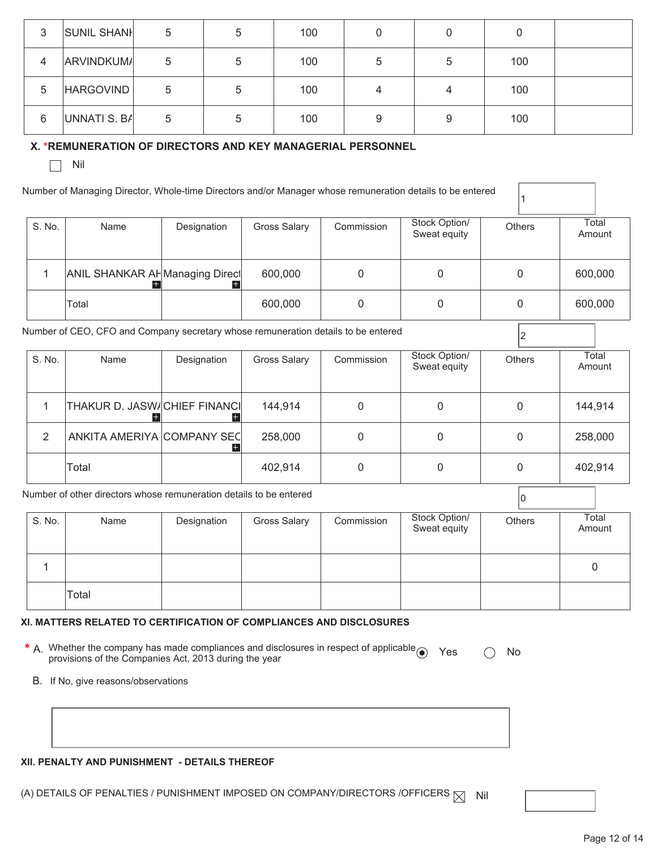| 3 | <b>SUNIL SHANH</b> | 5 | 5 | 100 | 0 |   |     |  |
|---|--------------------|---|---|-----|---|---|-----|--|
| 4 | <b>ARVINDKUMA</b>  | 5 | 5 | 100 | 5 | 5 | 100 |  |
| 5 | HARGOVIND          | 5 | 5 | 100 | 4 |   | 100 |  |
| 6 | UNNATI S. BA       | 5 | 5 | 100 | 9 | 9 | 100 |  |

#### **X. \*REMUNERATION OF DIRECTORS AND KEY MANAGERIAL PERSONNEL**

 $\Box$  Nil

| Number of Managing Director, Whole-time Directors and/or Manager whose remuneration details to be entered |
|-----------------------------------------------------------------------------------------------------------|
|                                                                                                           |
|                                                                                                           |

| S. No. | Name                           | Designation | Gross Salary | Commission | Stock Option/<br>Sweat equity | <b>Others</b> | Total<br>Amount |
|--------|--------------------------------|-------------|--------------|------------|-------------------------------|---------------|-----------------|
|        | ANIL SHANKAR AHManaging Direct |             | 600,000      |            |                               |               | 600,000         |
|        | Total                          |             | 600,000      |            |                               |               | 600,000         |

1

Number of CEO, CFO and Company secretary whose remuneration details to be entered <sup>2</sup>

| S. No. | Name                         | Designation | <b>Gross Salary</b> | Commission | Stock Option/<br>Sweat equity | <b>Others</b> | Total<br>Amount |
|--------|------------------------------|-------------|---------------------|------------|-------------------------------|---------------|-----------------|
|        | THAKUR D. JASW/CHIEF FINANCI |             | 144,914             |            |                               |               | 144,914         |
| 2      | ANKITA AMERIYA COMPANY SEC   |             | 258,000             |            |                               |               | 258,000         |
|        | Total                        |             | 402,914             |            | 0                             |               | 402,914         |

Number of other directors whose remuneration details to be entered  $\boxed{\text{o}}$ 

| S. No. | Name  | Designation | <b>Gross Salary</b> | Commission | Stock Option/<br>Sweat equity | Others | Total<br>Amount |
|--------|-------|-------------|---------------------|------------|-------------------------------|--------|-----------------|
|        |       |             |                     |            |                               |        |                 |
|        | Total |             |                     |            |                               |        |                 |

#### **XI. MATTERS RELATED TO CERTIFICATION OF COMPLIANCES AND DISCLOSURES**

**\*** A. Whether the company has made compliances and disclosures in respect of applicable ● Yes △ No<br>provisions of the Companies Act, 2013 during the year

B. If No, give reasons/observations

#### **XII. PENALTY AND PUNISHMENT - DETAILS THEREOF**

(A) DETAILS OF PENALTIES / PUNISHMENT IMPOSED ON COMPANY/DIRECTORS /OFFICERS  $\boxtimes$  Nil

Page 12 of 14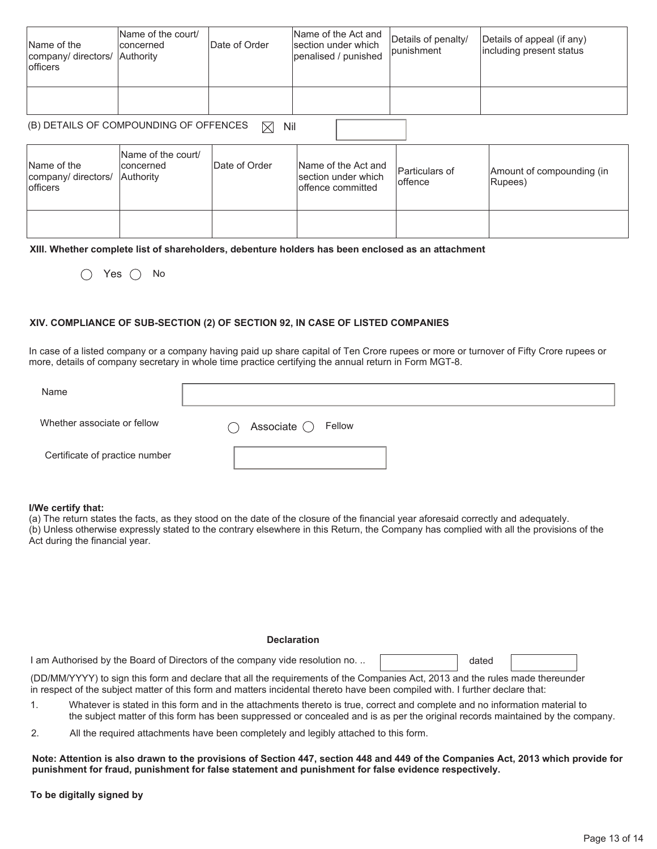| Name of the<br>company/ directors/ Authority<br><b>lofficers</b> | Name of the court/<br>Iconcerned | Date of Order | Name of the Act and<br>section under which<br>penalised / punished | Details of penalty/<br><i>l</i> punishment | Details of appeal (if any)<br>including present status |
|------------------------------------------------------------------|----------------------------------|---------------|--------------------------------------------------------------------|--------------------------------------------|--------------------------------------------------------|
|                                                                  |                                  |               |                                                                    |                                            |                                                        |

# (B) DETAILS OF COMPOUNDING OF OFFENCES  $\boxtimes$  Nil

| Name of the<br>company/ directors/<br><b>lofficers</b> | Name of the court/<br>lconcerned<br><b>Authority</b> | Date of Order | Name of the Act and<br>section under which<br>offence committed | <b>Particulars of</b><br>loffence | Amount of compounding (in<br>Rupees) |
|--------------------------------------------------------|------------------------------------------------------|---------------|-----------------------------------------------------------------|-----------------------------------|--------------------------------------|
|                                                        |                                                      |               |                                                                 |                                   |                                      |

#### **XIII. Whether complete list of shareholders, debenture holders has been enclosed as an attachment**

 $\bigcap$  Yes  $\bigcap$  No

#### **XIV. COMPLIANCE OF SUB-SECTION (2) OF SECTION 92, IN CASE OF LISTED COMPANIES**

In case of a listed company or a company having paid up share capital of Ten Crore rupees or more or turnover of Fifty Crore rupees or more, details of company secretary in whole time practice certifying the annual return in Form MGT-8.

| Name                           |                                          |
|--------------------------------|------------------------------------------|
| Whether associate or fellow    | Associate $\bigcirc$ Fellow<br>$\bar{ }$ |
| Certificate of practice number |                                          |

#### **I/We certify that:**

(a) The return states the facts, as they stood on the date of the closure of the financial year aforesaid correctly and adequately. (b) Unless otherwise expressly stated to the contrary elsewhere in this Return, the Company has complied with all the provisions of the Act during the financial year.

#### **Declaration**

I am Authorised by the Board of Directors of the company vide resolution no. ..

dated

(DD/MM/YYYY) to sign this form and declare that all the requirements of the Companies Act, 2013 and the rules made thereunder in respect of the subject matter of this form and matters incidental thereto have been compiled with. I further declare that:

- 1. Whatever is stated in this form and in the attachments thereto is true, correct and complete and no information material to the subject matter of this form has been suppressed or concealed and is as per the original records maintained by the company.
- 2. All the required attachments have been completely and legibly attached to this form.

**Note: Attention is also drawn to the provisions of Section 447, section 448 and 449 of the Companies Act, 2013 which provide for punishment for fraud, punishment for false statement and punishment for false evidence respectively.** 

**To be digitally signed by**